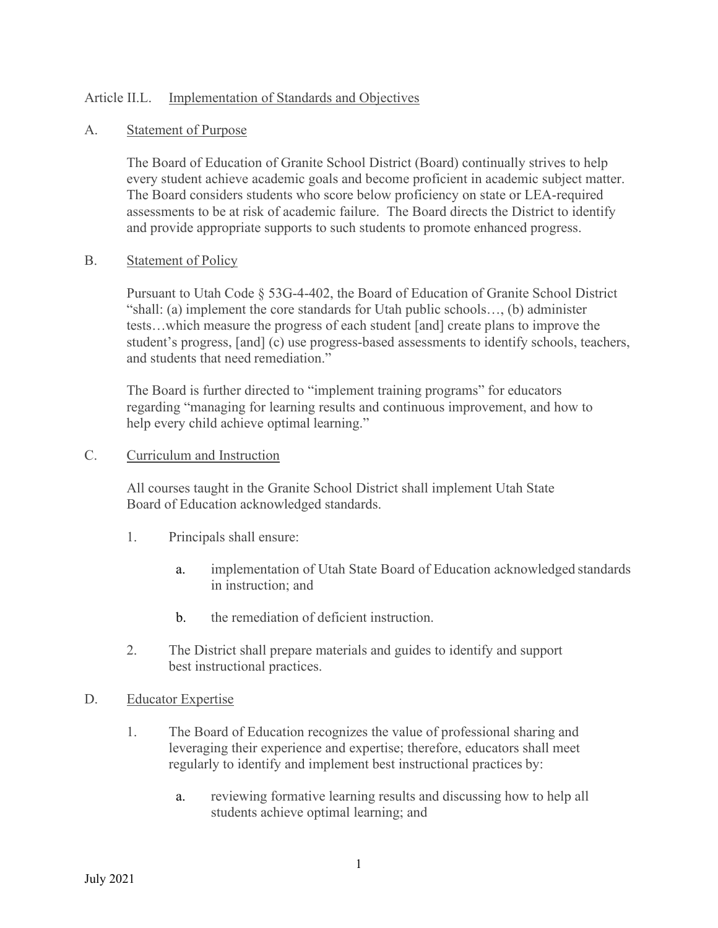## Article II.L. Implementation of Standards and Objectives

### A. Statement of Purpose

The Board of Education of Granite School District (Board) continually strives to help every student achieve academic goals and become proficient in academic subject matter. The Board considers students who score below proficiency on state or LEA-required assessments to be at risk of academic failure. The Board directs the District to identify and provide appropriate supports to such students to promote enhanced progress.

#### B. Statement of Policy

Pursuant to Utah Code § 53G-4-402, the Board of Education of Granite School District "shall: (a) implement the core standards for Utah public schools…, (b) administer tests…which measure the progress of each student [and] create plans to improve the student's progress, [and] (c) use progress-based assessments to identify schools, teachers, and students that need remediation."

The Board is further directed to "implement training programs" for educators regarding "managing for learning results and continuous improvement, and how to help every child achieve optimal learning."

#### C. Curriculum and Instruction

All courses taught in the Granite School District shall implement Utah State Board of Education acknowledged standards.

- 1. Principals shall ensure:
	- a. implementation of Utah State Board of Education acknowledged standards in instruction; and
	- b. the remediation of deficient instruction.
- 2. The District shall prepare materials and guides to identify and support best instructional practices.
- D. Educator Expertise
	- 1. The Board of Education recognizes the value of professional sharing and leveraging their experience and expertise; therefore, educators shall meet regularly to identify and implement best instructional practices by:
		- a. reviewing formative learning results and discussing how to help all students achieve optimal learning; and